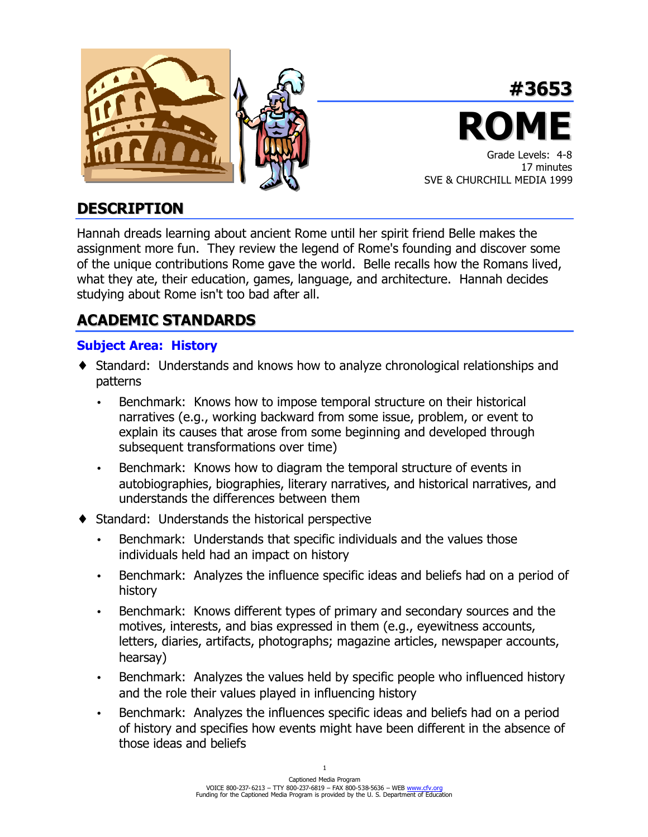



## **DESCRIPTION**

Hannah dreads learning about ancient Rome until her spirit friend Belle makes the assignment more fun. They review the legend of Rome's founding and discover some of the unique contributions Rome gave the world. Belle recalls how the Romans lived, what they ate, their education, games, language, and architecture. Hannah decides studying about Rome isn't too bad after all.

## **ACADEMIC STANDARDS**

## **Subject Area: History**

- ♦ Standard: Understands and knows how to analyze chronological relationships and patterns
	- Benchmark: Knows how to impose temporal structure on their historical narratives (e.g., working backward from some issue, problem, or event to explain its causes that arose from some beginning and developed through subsequent transformations over time)
	- Benchmark: Knows how to diagram the temporal structure of events in autobiographies, biographies, literary narratives, and historical narratives, and understands the differences between them
- Standard: Understands the historical perspective
	- Benchmark: Understands that specific individuals and the values those individuals held had an impact on history
	- Benchmark: Analyzes the influence specific ideas and beliefs had on a period of history
	- Benchmark: Knows different types of primary and secondary sources and the motives, interests, and bias expressed in them (e.g., eyewitness accounts, letters, diaries, artifacts, photographs; magazine articles, newspaper accounts, hearsay)
	- Benchmark: Analyzes the values held by specific people who influenced history and the role their values played in influencing history
	- Benchmark: Analyzes the influences specific ideas and beliefs had on a period of history and specifies how events might have been different in the absence of those ideas and beliefs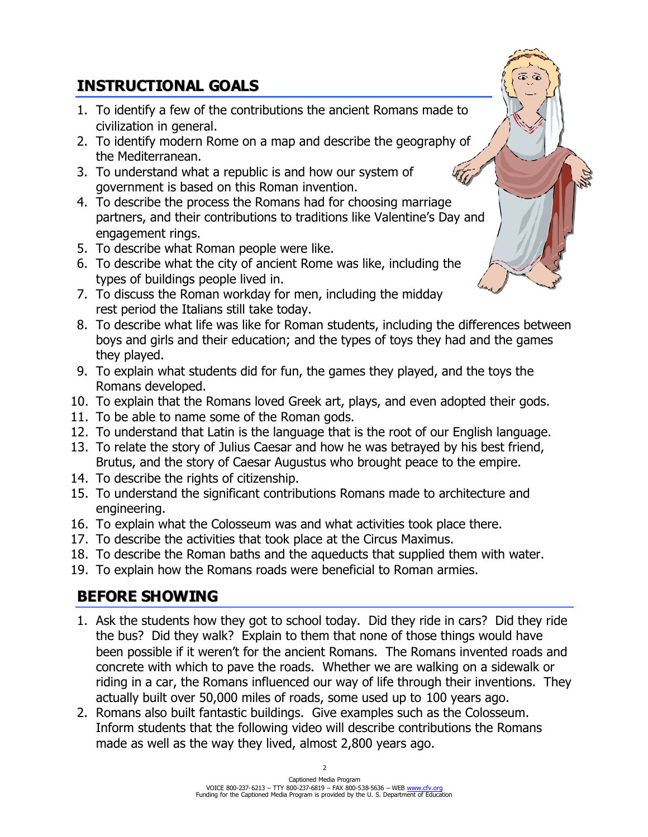# **INSTRUCTIONAL GOALS**

- 1. To identify a few of the contributions the ancient Romans made to civilization in general.
- 2. To identify modern Rome on a map and describe the geography of the Mediterranean.
- 3. To understand what a republic is and how our system of government is based on this Roman invention.
- 4. To describe the process the Romans had for choosing marriage partners, and their contributions to traditions like Valentine's Day and engagement rings.
- 5. To describe what Roman people were like.
- 6. To describe what the city of ancient Rome was like, including the types of buildings people lived in.
- 7. To discuss the Roman workday for men, including the midday rest period the Italians still take today.
- 8. To describe what life was like for Roman students, including the differences between boys and girls and their education; and the types of toys they had and the games they played.
- 9. To explain what students did for fun, the games they played, and the toys the Romans developed.
- 10. To explain that the Romans loved Greek art, plays, and even adopted their gods.
- 11. To be able to name some of the Roman gods.
- 12. To understand that Latin is the language that is the root of our English language.
- 13. To relate the story of Julius Caesar and how he was betrayed by his best friend, Brutus, and the story of Caesar Augustus who brought peace to the empire.
- 14. To describe the rights of citizenship.
- 15. To understand the significant contributions Romans made to architecture and engineering.
- 16. To explain what the Colosseum was and what activities took place there.
- 17. To describe the activities that took place at the Circus Maximus.
- 18. To describe the Roman baths and the aqueducts that supplied them with water.
- 19. To explain how the Romans roads were beneficial to Roman armies.

# **BEFORE SHOWING**

- 1. Ask the students how they got to school today. Did they ride in cars? Did they ride the bus? Did they walk? Explain to them that none of those things would have been possible if it weren't for the ancient Romans. The Romans invented roads and concrete with which to pave the roads. Whether we are walking on a sidewalk or riding in a car, the Romans influenced our way of life through their inventions. They actually built over 50,000 miles of roads, some used up to 100 years ago.
- 2. Romans also built fantastic buildings. Give examples such as the Colosseum. Inform students that the following video will describe contributions the Romans made as well as the way they lived, almost 2,800 years ago.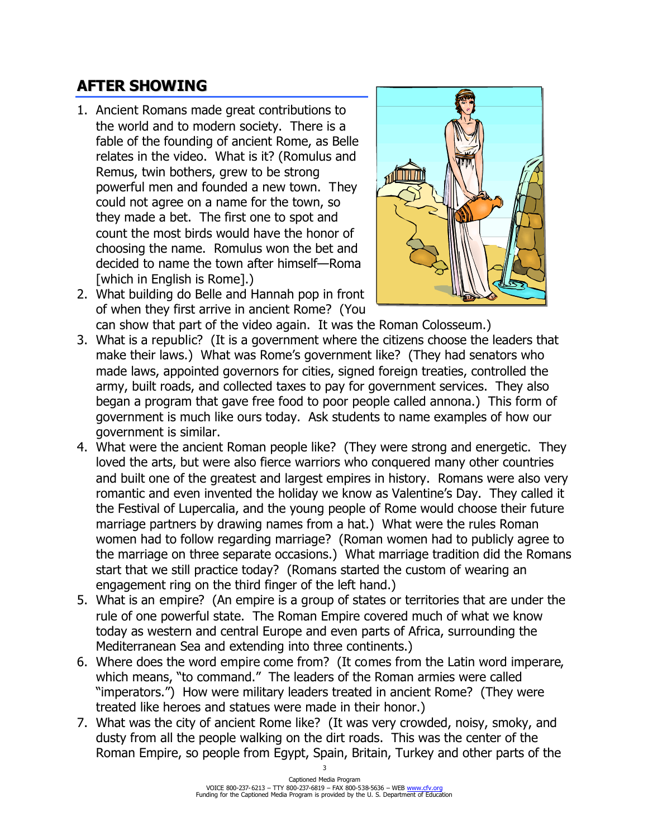# **AFTER SHOWING**

- 1. Ancient Romans made great contributions to the world and to modern society. There is a fable of the founding of ancient Rome, as Belle relates in the video. What is it? (Romulus and Remus, twin bothers, grew to be strong powerful men and founded a new town. They could not agree on a name for the town, so they made a bet. The first one to spot and count the most birds would have the honor of choosing the name. Romulus won the bet and decided to name the town after himself—Roma [which in English is Rome].)
- 2. What building do Belle and Hannah pop in front of when they first arrive in ancient Rome? (You



- can show that part of the video again. It was the Roman Colosseum.) 3. What is a republic? (It is a government where the citizens choose the leaders that make their laws.) What was Rome's government like? (They had senators who made laws, appointed governors for cities, signed foreign treaties, controlled the army, built roads, and collected taxes to pay for government services. They also began a program that gave free food to poor people called annona.) This form of government is much like ours today. Ask students to name examples of how our government is similar.
- 4. What were the ancient Roman people like? (They were strong and energetic. They loved the arts, but were also fierce warriors who conquered many other countries and built one of the greatest and largest empires in history. Romans were also very romantic and even invented the holiday we know as Valentine's Day. They called it the Festival of Lupercalia, and the young people of Rome would choose their future marriage partners by drawing names from a hat.) What were the rules Roman women had to follow regarding marriage? (Roman women had to publicly agree to the marriage on three separate occasions.) What marriage tradition did the Romans start that we still practice today? (Romans started the custom of wearing an engagement ring on the third finger of the left hand.)
- 5. What is an empire? (An empire is a group of states or territories that are under the rule of one powerful state. The Roman Empire covered much of what we know today as western and central Europe and even parts of Africa, surrounding the Mediterranean Sea and extending into three continents.)
- 6. Where does the word empire come from? (It comes from the Latin word imperare, which means, "to command." The leaders of the Roman armies were called "imperators.") How were military leaders treated in ancient Rome? (They were treated like heroes and statues were made in their honor.)
- 7. What was the city of ancient Rome like? (It was very crowded, noisy, smoky, and dusty from all the people walking on the dirt roads. This was the center of the Roman Empire, so people from Egypt, Spain, Britain, Turkey and other parts of the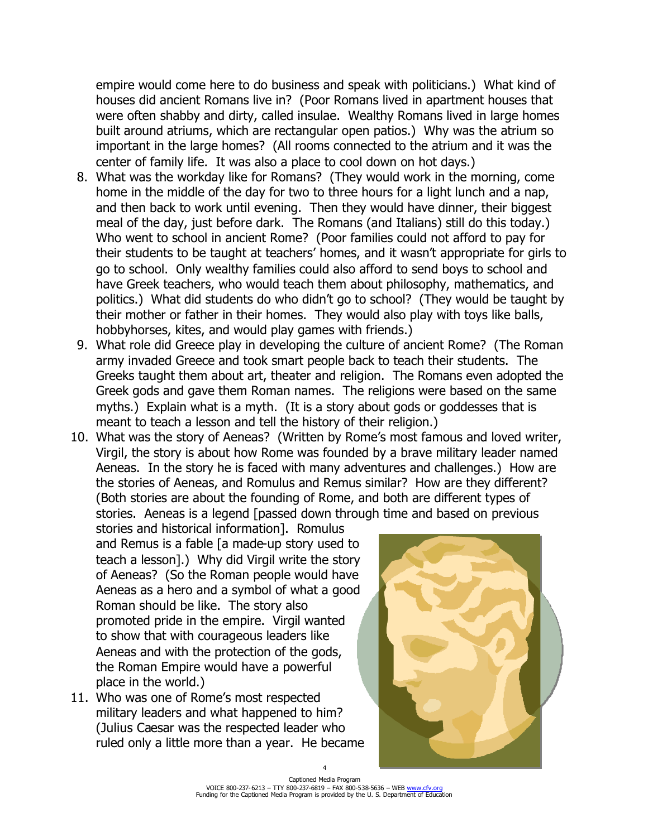empire would come here to do business and speak with politicians.) What kind of houses did ancient Romans live in? (Poor Romans lived in apartment houses that were often shabby and dirty, called insulae. Wealthy Romans lived in large homes built around atriums, which are rectangular open patios.) Why was the atrium so important in the large homes? (All rooms connected to the atrium and it was the center of family life. It was also a place to cool down on hot days.)

- 8. What was the workday like for Romans? (They would work in the morning, come home in the middle of the day for two to three hours for a light lunch and a nap, and then back to work until evening. Then they would have dinner, their biggest meal of the day, just before dark. The Romans (and Italians) still do this today.) Who went to school in ancient Rome? (Poor families could not afford to pay for their students to be taught at teachers' homes, and it wasn't appropriate for girls to go to school. Only wealthy families could also afford to send boys to school and have Greek teachers, who would teach them about philosophy, mathematics, and politics.) What did students do who didn't go to school? (They would be taught by their mother or father in their homes. They would also play with toys like balls, hobbyhorses, kites, and would play games with friends.)
- 9. What role did Greece play in developing the culture of ancient Rome? (The Roman army invaded Greece and took smart people back to teach their students. The Greeks taught them about art, theater and religion. The Romans even adopted the Greek gods and gave them Roman names. The religions were based on the same myths.) Explain what is a myth. (It is a story about gods or goddesses that is meant to teach a lesson and tell the history of their religion.)
- 10. What was the story of Aeneas? (Written by Rome's most famous and loved writer, Virgil, the story is about how Rome was founded by a brave military leader named Aeneas. In the story he is faced with many adventures and challenges.) How are the stories of Aeneas, and Romulus and Remus similar? How are they different? (Both stories are about the founding of Rome, and both are different types of stories. Aeneas is a legend [passed down through time and based on previous

stories and historical information]. Romulus and Remus is a fable [a made-up story used to teach a lesson].) Why did Virgil write the story of Aeneas? (So the Roman people would have Aeneas as a hero and a symbol of what a good Roman should be like. The story also promoted pride in the empire. Virgil wanted to show that with courageous leaders like Aeneas and with the protection of the gods, the Roman Empire would have a powerful place in the world.)

11. Who was one of Rome's most respected military leaders and what happened to him? (Julius Caesar was the respected leader who ruled only a little more than a year. He became

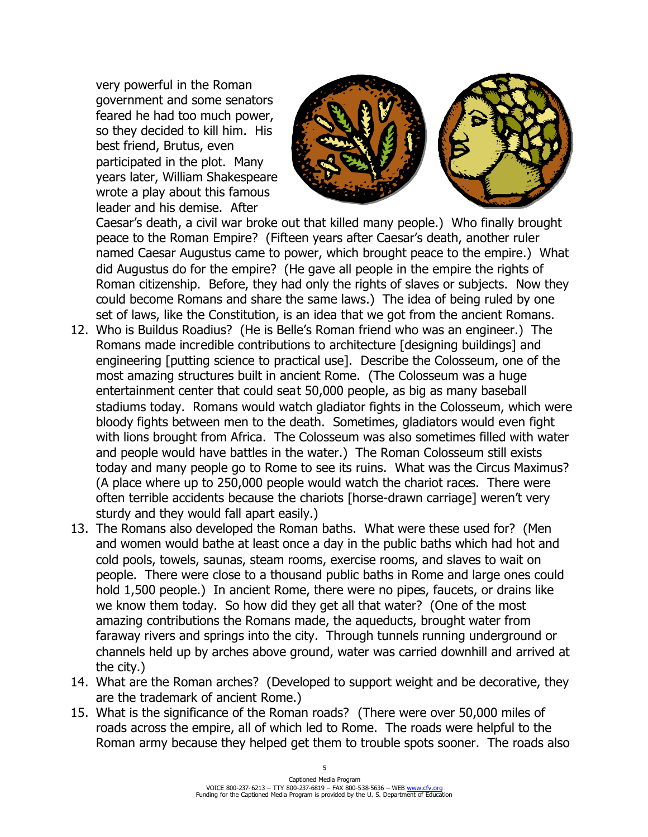very powerful in the Roman government and some senators feared he had too much power, so they decided to kill him. His best friend, Brutus, even participated in the plot. Many years later, William Shakespeare wrote a play about this famous leader and his demise. After



Caesar's death, a civil war broke out that killed many people.) Who finally brought peace to the Roman Empire? (Fifteen years after Caesar's death, another ruler named Caesar Augustus came to power, which brought peace to the empire.) What did Augustus do for the empire? (He gave all people in the empire the rights of Roman citizenship. Before, they had only the rights of slaves or subjects. Now they could become Romans and share the same laws.) The idea of being ruled by one set of laws, like the Constitution, is an idea that we got from the ancient Romans.

- 12. Who is Buildus Roadius? (He is Belle's Roman friend who was an engineer.) The Romans made incredible contributions to architecture [designing buildings] and engineering [putting science to practical use]. Describe the Colosseum, one of the most amazing structures built in ancient Rome. (The Colosseum was a huge entertainment center that could seat 50,000 people, as big as many baseball stadiums today. Romans would watch gladiator fights in the Colosseum, which were bloody fights between men to the death. Sometimes, gladiators would even fight with lions brought from Africa. The Colosseum was also sometimes filled with water and people would have battles in the water.) The Roman Colosseum still exists today and many people go to Rome to see its ruins. What was the Circus Maximus? (A place where up to 250,000 people would watch the chariot races. There were often terrible accidents because the chariots [horse-drawn carriage] weren't very sturdy and they would fall apart easily.)
- 13. The Romans also developed the Roman baths. What were these used for? (Men and women would bathe at least once a day in the public baths which had hot and cold pools, towels, saunas, steam rooms, exercise rooms, and slaves to wait on people. There were close to a thousand public baths in Rome and large ones could hold 1,500 people.) In ancient Rome, there were no pipes, faucets, or drains like we know them today. So how did they get all that water? (One of the most amazing contributions the Romans made, the aqueducts, brought water from faraway rivers and springs into the city. Through tunnels running underground or channels held up by arches above ground, water was carried downhill and arrived at the city.)
- 14. What are the Roman arches? (Developed to support weight and be decorative, they are the trademark of ancient Rome.)
- 15. What is the significance of the Roman roads? (There were over 50,000 miles of roads across the empire, all of which led to Rome. The roads were helpful to the Roman army because they helped get them to trouble spots sooner. The roads also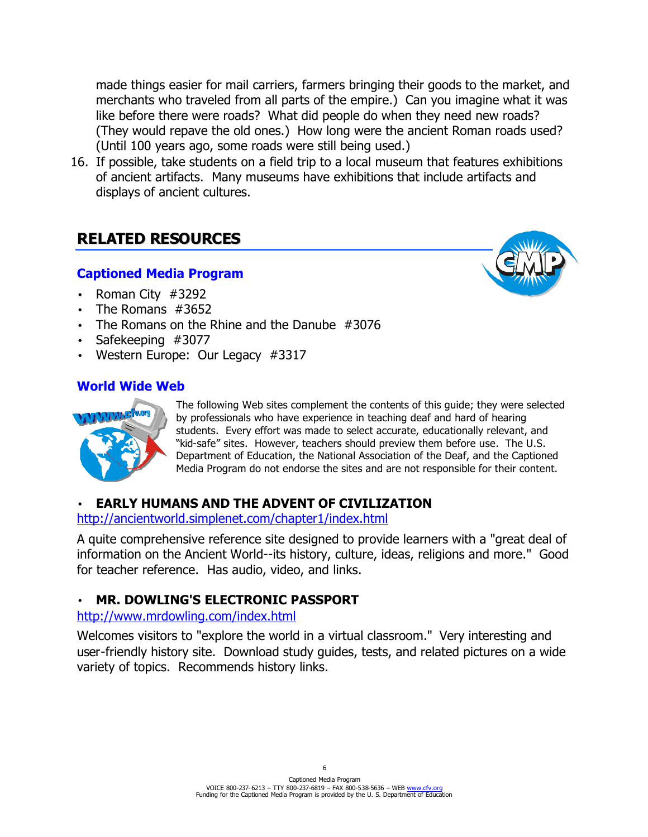made things easier for mail carriers, farmers bringing their goods to the market, and merchants who traveled from all parts of the empire.) Can you imagine what it was like before there were roads? What did people do when they need new roads? (They would repave the old ones.) How long were the ancient Roman roads used? (Until 100 years ago, some roads were still being used.)

16. If possible, take students on a field trip to a local museum that features exhibitions of ancient artifacts. Many museums have exhibitions that include artifacts and displays of ancient cultures.

## **RELATED RESOURCES**

## **Captioned Media Program**

- Roman City #3292
- The Romans #3652
- The Romans on the Rhine and the Danube #3076
- Safekeeping #3077
- Western Europe: Our Legacy #3317

## **World Wide Web**



The following Web sites complement the contents of this guide; they were selected by professionals who have experience in teaching deaf and hard of hearing students. Every effort was made to select accurate, educationally relevant, and "kid-safe" sites. However, teachers should preview them before use. The U.S. Department of Education, the National Association of the Deaf, and the Captioned Media Program do not endorse the sites and are not responsible for their content.

## **EARLY HUMANS AND THE ADVENT OF CIVILIZATION**

#### http://ancientworld.simplenet.com/chapter1/index.html

A quite comprehensive reference site designed to provide learners with a "great deal of information on the Ancient World--its history, culture, ideas, religions and more." Good for teacher reference. Has audio, video, and links.

## • **MR. DOWLING'S ELECTRONIC PASSPORT**

#### http://www.mrdowling.com/index.html

Welcomes visitors to "explore the world in a virtual classroom." Very interesting and user-friendly history site. Download study guides, tests, and related pictures on a wide variety of topics. Recommends history links.